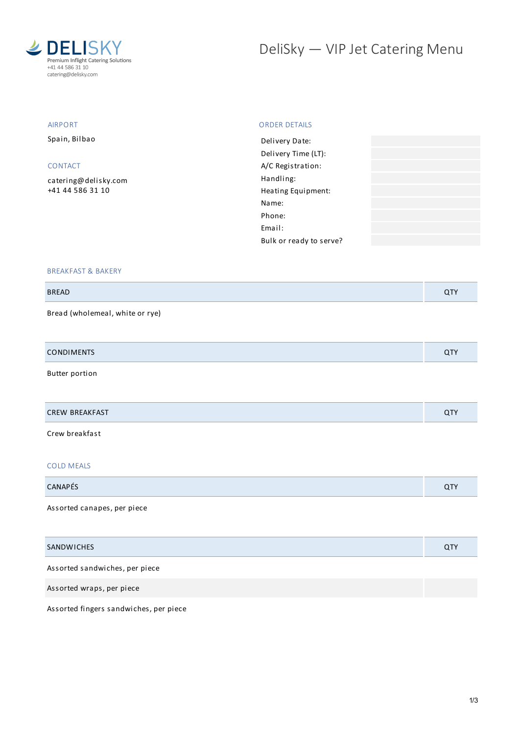

# DeliSky - VIP Jet Catering Menu

#### AIRPORT

Spain, Bilbao

### CONTACT

[catering@delisky.com](mailto:catering@delisky.com) +41 44 586 31 10

#### ORDER DETAILS

| Delivery Date:          |  |
|-------------------------|--|
| Delivery Time (LT):     |  |
| A/C Registration:       |  |
| Handling:               |  |
| Heating Equipment:      |  |
| Name:                   |  |
| Phone:                  |  |
| Email:                  |  |
| Bulk or ready to serve? |  |
|                         |  |

#### BREAKFAST & BAKERY

### BREAD QTY

Bread (wholemeal, white or rye)

| <b>CONDIMENTS</b> | $\sim$ |
|-------------------|--------|
|                   |        |

Butter portion

| <b>CREW BREAKFAST</b> | $\sim$ |
|-----------------------|--------|
|                       |        |

## Crew breakfast

## COLD MEALS

| <b>CANAPES</b> |  |
|----------------|--|
|                |  |

Assorted canapes, per piece

| <b>SANDWICHES</b> |  |
|-------------------|--|
|                   |  |

Assorted sandwiches, per piece

Assorted wraps, per piece

Assorted fingers sandwiches, per piece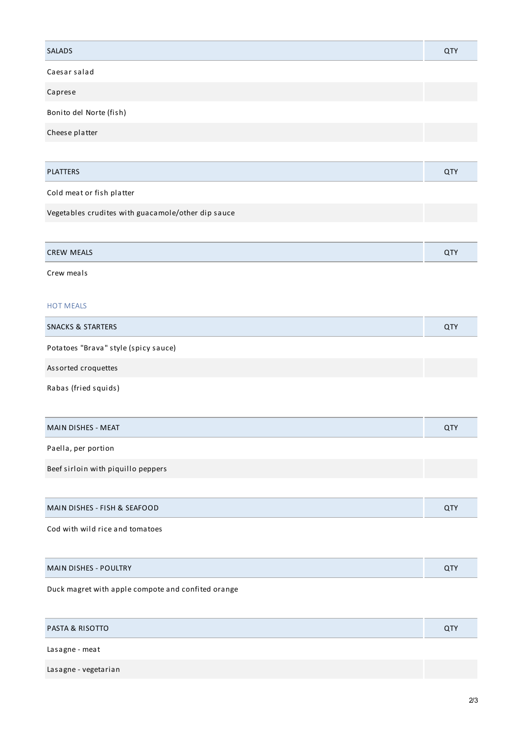| <b>SALADS</b>                                      | QTY |
|----------------------------------------------------|-----|
| Caesar salad                                       |     |
| Caprese                                            |     |
| Bonito del Norte (fish)                            |     |
| Cheese platter                                     |     |
|                                                    |     |
| <b>PLATTERS</b>                                    | QTY |
| Cold meat or fish platter                          |     |
| Vegetables crudites with guacamole/other dip sauce |     |
|                                                    |     |
| <b>CREW MEALS</b>                                  | QTY |
| Crew meals                                         |     |
|                                                    |     |
| <b>HOT MEALS</b>                                   |     |
| <b>SNACKS &amp; STARTERS</b>                       | QTY |
| Potatoes "Brava" style (spicy sauce)               |     |
| Assorted croquettes                                |     |
| Rabas (fried squids)                               |     |
| MAIN DISHES - MEAT                                 | QTY |
| Paella, per portion                                |     |
| Beef sirloin with piquillo peppers                 |     |
|                                                    |     |
| MAIN DISHES - FISH & SEAFOOD                       | QTY |
| Cod with wild rice and tomatoes                    |     |
|                                                    |     |
| <b>MAIN DISHES - POULTRY</b>                       | QTY |
| Duck magret with apple compote and confited orange |     |
|                                                    |     |
| PASTA & RISOTTO                                    | QTY |
| Lasagne - meat                                     |     |
| Lasagne - vegetarian                               |     |